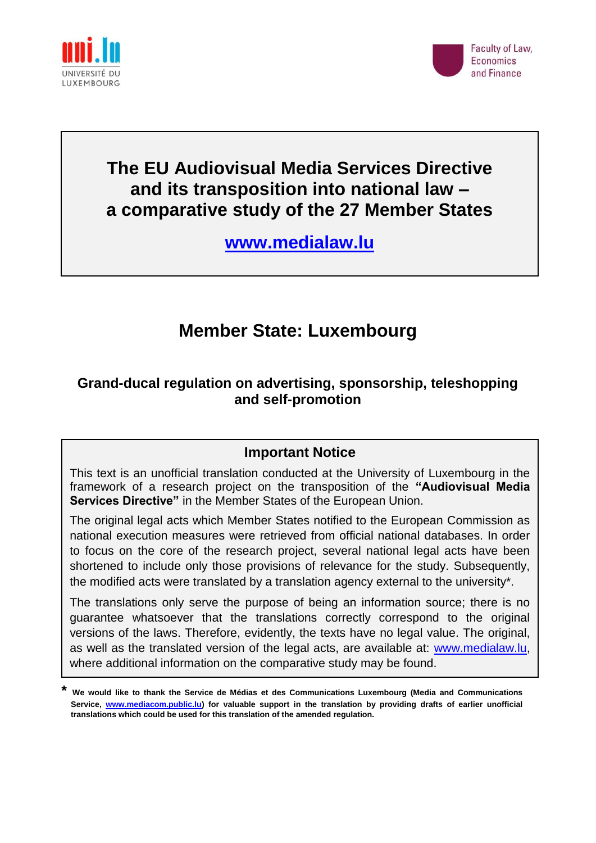



# **The EU Audiovisual Media Services Directive and its transposition into national law – a comparative study of the 27 Member States**

**[www.medialaw.lu](http://www.medialaw.lu/)**

# **Member State: Luxembourg**

# **Grand-ducal regulation on advertising, sponsorship, teleshopping and self-promotion**

# **Important Notice**

This text is an unofficial translation conducted at the University of Luxembourg in the framework of a research project on the transposition of the **"Audiovisual Media Services Directive"** in the Member States of the European Union.

The original legal acts which Member States notified to the European Commission as national execution measures were retrieved from official national databases. In order to focus on the core of the research project, several national legal acts have been shortened to include only those provisions of relevance for the study. Subsequently, the modified acts were translated by a translation agency external to the university\*.

The translations only serve the purpose of being an information source; there is no guarantee whatsoever that the translations correctly correspond to the original versions of the laws. Therefore, evidently, the texts have no legal value. The original, as well as the translated version of the legal acts, are available at: [www.medialaw.lu,](http://www.medialaw.lu/) where additional information on the comparative study may be found.

**<sup>\*</sup> We would like to thank the Service de Médias et des Communications Luxembourg (Media and Communications Service, [www.mediacom.public.lu\)](http://www.mediacom.public.lu/) for valuable support in the translation by providing drafts of earlier unofficial translations which could be used for this translation of the amended regulation.**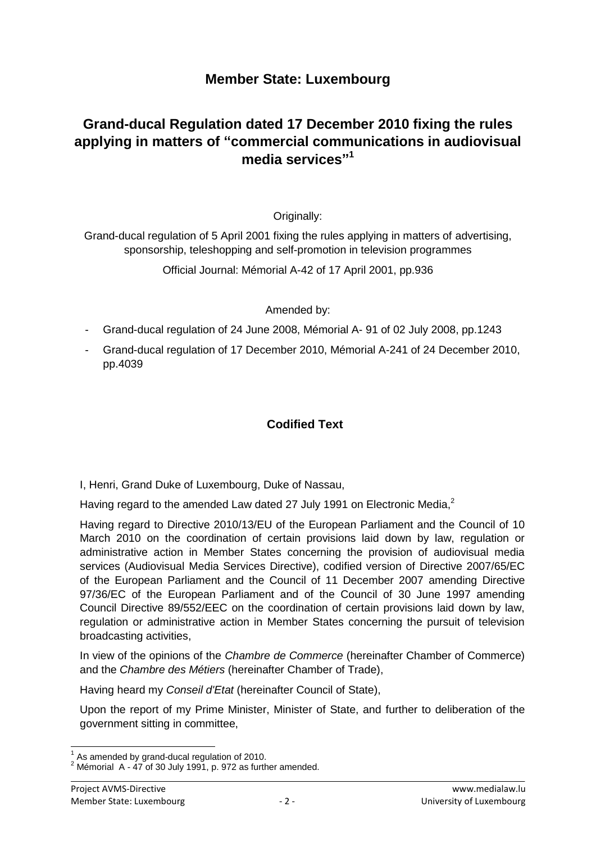# **Member State: Luxembourg**

# **Grand-ducal Regulation dated 17 December 2010 fixing the rules applying in matters of "commercial communications in audiovisual media services" 1**

Originally:

Grand-ducal regulation of 5 April 2001 fixing the rules applying in matters of advertising, sponsorship, teleshopping and self-promotion in television programmes

Official Journal: Mémorial A-42 of 17 April 2001, pp.936

## Amended by:

- Grand-ducal regulation of 24 June 2008, Mémorial A- 91 of 02 July 2008, pp.1243
- Grand-ducal regulation of 17 December 2010, Mémorial A-241 of 24 December 2010, pp.4039

## **Codified Text**

I, Henri, Grand Duke of Luxembourg, Duke of Nassau,

Having regard to the amended Law dated 27 July 1991 on Electronic Media, $^2$ 

Having regard to Directive 2010/13/EU of the European Parliament and the Council of 10 March 2010 on the coordination of certain provisions laid down by law, regulation or administrative action in Member States concerning the provision of audiovisual media services (Audiovisual Media Services Directive), codified version of Directive 2007/65/EC of the European Parliament and the Council of 11 December 2007 amending Directive 97/36/EC of the European Parliament and of the Council of 30 June 1997 amending Council Directive 89/552/EEC on the coordination of certain provisions laid down by law, regulation or administrative action in Member States concerning the pursuit of television broadcasting activities,

In view of the opinions of the *Chambre de Commerce* (hereinafter Chamber of Commerce) and the *Chambre des Métiers* (hereinafter Chamber of Trade),

Having heard my *Conseil d'Etat* (hereinafter Council of State),

Upon the report of my Prime Minister, Minister of State, and further to deliberation of the government sitting in committee,

 1 As amended by grand-ducal regulation of 2010.

 $2$  Mémorial A - 47 of 30 July 1991, p. 972 as further amended.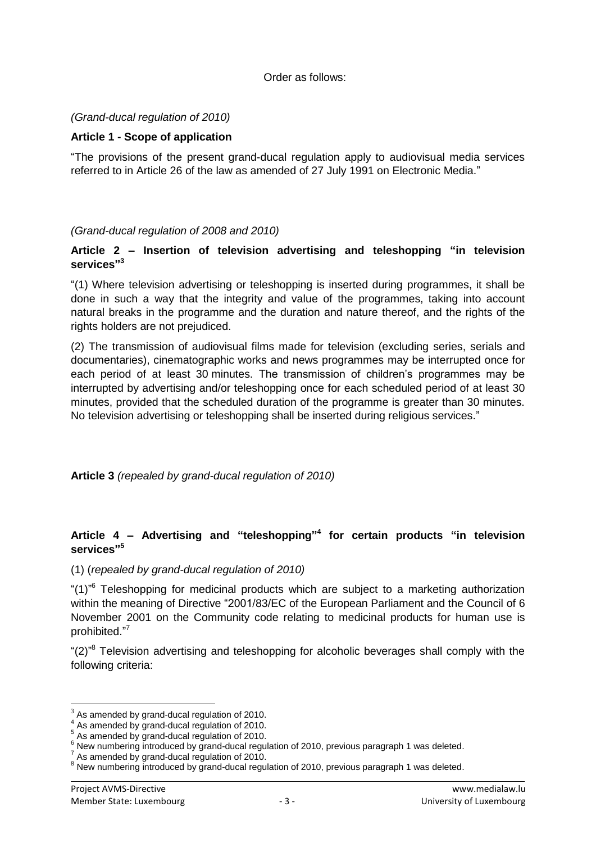#### Order as follows:

#### *(Grand-ducal regulation of 2010)*

#### **Article 1 - Scope of application**

"The provisions of the present grand-ducal regulation apply to audiovisual media services referred to in Article 26 of the law as amended of 27 July 1991 on Electronic Media."

*(Grand-ducal regulation of 2008 and 2010)*

#### **Article 2 – Insertion of television advertising and teleshopping "in television services" 3**

"(1) Where television advertising or teleshopping is inserted during programmes, it shall be done in such a way that the integrity and value of the programmes, taking into account natural breaks in the programme and the duration and nature thereof, and the rights of the rights holders are not prejudiced.

(2) The transmission of audiovisual films made for television (excluding series, serials and documentaries), cinematographic works and news programmes may be interrupted once for each period of at least 30 minutes. The transmission of children's programmes may be interrupted by advertising and/or teleshopping once for each scheduled period of at least 30 minutes, provided that the scheduled duration of the programme is greater than 30 minutes. No television advertising or teleshopping shall be inserted during religious services."

**Article 3** *(repealed by grand-ducal regulation of 2010)*

### **Article 4 – Advertising and "teleshopping" 4 for certain products "in television services" 5**

#### (1) (*repealed by grand-ducal regulation of 2010)*

"(1)<sup>"6</sup> Teleshopping for medicinal products which are subject to a marketing authorization within the meaning of Directive "2001/83/EC of the European Parliament and the Council of 6 November 2001 on the Community code relating to medicinal products for human use is prohibited." 7

"(2)<sup>"8</sup> Television advertising and teleshopping for alcoholic beverages shall comply with the following criteria:

-

<sup>3</sup> As amended by grand-ducal regulation of 2010.

<sup>4</sup> As amended by grand-ducal regulation of 2010.

<sup>5</sup> As amended by grand-ducal regulation of 2010.

<sup>6</sup> New numbering introduced by grand-ducal regulation of 2010, previous paragraph 1 was deleted.

 $^7$  As amended by grand-ducal regulation of 2010.

<sup>&</sup>lt;sup>8</sup> New numbering introduced by grand-ducal regulation of 2010, previous paragraph 1 was deleted.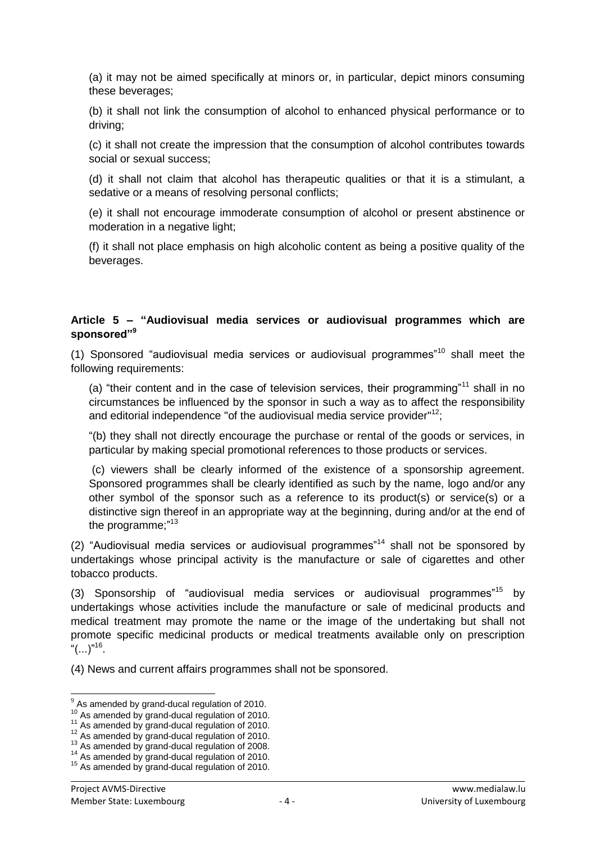(a) it may not be aimed specifically at minors or, in particular, depict minors consuming these beverages;

(b) it shall not link the consumption of alcohol to enhanced physical performance or to driving;

(c) it shall not create the impression that the consumption of alcohol contributes towards social or sexual success;

(d) it shall not claim that alcohol has therapeutic qualities or that it is a stimulant, a sedative or a means of resolving personal conflicts;

(e) it shall not encourage immoderate consumption of alcohol or present abstinence or moderation in a negative light;

(f) it shall not place emphasis on high alcoholic content as being a positive quality of the beverages.

### **Article 5 – "Audiovisual media services or audiovisual programmes which are sponsored"<sup>9</sup>**

(1) Sponsored "audiovisual media services or audiovisual programmes"<sup>10</sup> shall meet the following requirements:

(a) "their content and in the case of television services, their programming"<sup>11</sup> shall in no circumstances be influenced by the sponsor in such a way as to affect the responsibility and editorial independence "of the audiovisual media service provider"<sup>12</sup>:

"(b) they shall not directly encourage the purchase or rental of the goods or services, in particular by making special promotional references to those products or services.

(c) viewers shall be clearly informed of the existence of a sponsorship agreement. Sponsored programmes shall be clearly identified as such by the name, logo and/or any other symbol of the sponsor such as a reference to its product(s) or service(s) or a distinctive sign thereof in an appropriate way at the beginning, during and/or at the end of the programme;"<sup>13</sup>

(2) "Audiovisual media services or audiovisual programmes"<sup>14</sup> shall not be sponsored by undertakings whose principal activity is the manufacture or sale of cigarettes and other tobacco products.

(3) Sponsorship of "audiovisual media services or audiovisual programmes"<sup>15</sup> by undertakings whose activities include the manufacture or sale of medicinal products and medical treatment may promote the name or the image of the undertaking but shall not promote specific medicinal products or medical treatments available only on prescription " $(...)$ "<sup>16</sup>.

(4) News and current affairs programmes shall not be sponsored.

 9 As amended by grand-ducal regulation of 2010.

<sup>&</sup>lt;sup>10</sup> As amended by grand-ducal regulation of 2010.

 $11$  As amended by grand-ducal regulation of 2010.

 $12$  As amended by grand-ducal regulation of 2010.

 $13$  As amended by grand-ducal regulation of 2008.

<sup>&</sup>lt;sup>14</sup> As amended by grand-ducal regulation of 2010.

<sup>&</sup>lt;sup>15</sup> As amended by grand-ducal regulation of 2010.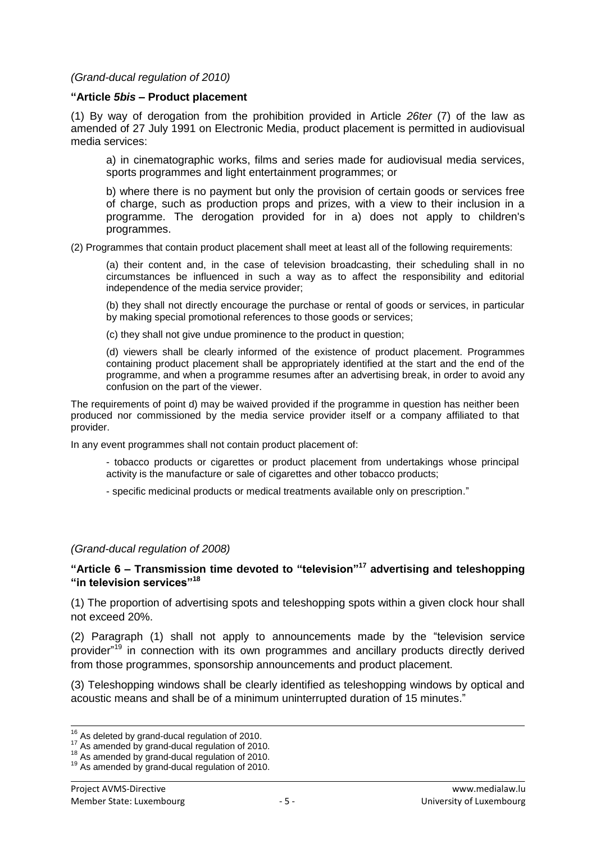*(Grand-ducal regulation of 2010)*

#### **"Article** *5bis* **– Product placement**

(1) By way of derogation from the prohibition provided in Article *26ter* (7) of the law as amended of 27 July 1991 on Electronic Media, product placement is permitted in audiovisual media services:

a) in cinematographic works, films and series made for audiovisual media services, sports programmes and light entertainment programmes; or

b) where there is no payment but only the provision of certain goods or services free of charge, such as production props and prizes, with a view to their inclusion in a programme. The derogation provided for in a) does not apply to children's programmes.

(2) Programmes that contain product placement shall meet at least all of the following requirements:

(a) their content and, in the case of television broadcasting, their scheduling shall in no circumstances be influenced in such a way as to affect the responsibility and editorial independence of the media service provider;

(b) they shall not directly encourage the purchase or rental of goods or services, in particular by making special promotional references to those goods or services;

(c) they shall not give undue prominence to the product in question;

(d) viewers shall be clearly informed of the existence of product placement. Programmes containing product placement shall be appropriately identified at the start and the end of the programme, and when a programme resumes after an advertising break, in order to avoid any confusion on the part of the viewer.

The requirements of point d) may be waived provided if the programme in question has neither been produced nor commissioned by the media service provider itself or a company affiliated to that provider.

In any event programmes shall not contain product placement of:

- tobacco products or cigarettes or product placement from undertakings whose principal activity is the manufacture or sale of cigarettes and other tobacco products;
- specific medicinal products or medical treatments available only on prescription."

#### *(Grand-ducal regulation of 2008)*

#### **"Article 6 – Transmission time devoted to "television"<sup>17</sup> advertising and teleshopping "in television services"<sup>18</sup>**

(1) The proportion of advertising spots and teleshopping spots within a given clock hour shall not exceed 20%.

(2) Paragraph (1) shall not apply to announcements made by the "television service provider"<sup>19</sup> in connection with its own programmes and ancillary products directly derived from those programmes, sponsorship announcements and product placement.

(3) Teleshopping windows shall be clearly identified as teleshopping windows by optical and acoustic means and shall be of a minimum uninterrupted duration of 15 minutes."

<sup>19</sup> As amended by grand-ducal regulation of 2010.

l

 $16$  As deleted by grand-ducal regulation of 2010.

<sup>&</sup>lt;sup>17</sup> As amended by grand-ducal regulation of 2010.

<sup>&</sup>lt;sup>18</sup> As amended by grand-ducal regulation of 2010.